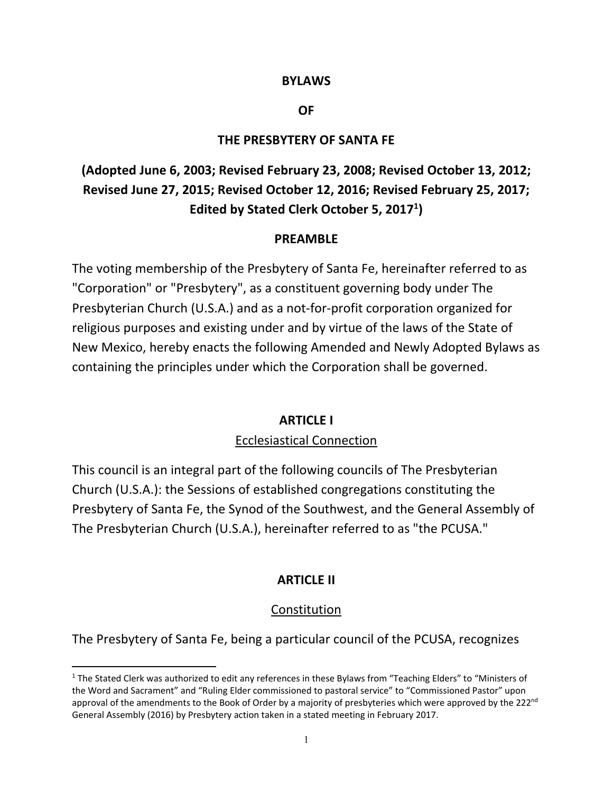#### **BYLAWS**

#### **OF**

#### **THE PRESBYTERY OF SANTA FE**

# **(Adopted June 6, 2003; Revised February 23, 2008; Revised October 13, 2012; Revised June 27, 2015; Revised October 12, 2016; Revised February 25, 2017; Edited by Stated Clerk October 5, 20171 )**

#### **PREAMBLE**

The voting membership of the Presbytery of Santa Fe, hereinafter referred to as "Corporation" or "Presbytery", as a constituent governing body under The Presbyterian Church (U.S.A.) and as a not‐for‐profit corporation organized for religious purposes and existing under and by virtue of the laws of the State of New Mexico, hereby enacts the following Amended and Newly Adopted Bylaws as containing the principles under which the Corporation shall be governed.

### **ARTICLE I**

### Ecclesiastical Connection

This council is an integral part of the following councils of The Presbyterian Church (U.S.A.): the Sessions of established congregations constituting the Presbytery of Santa Fe, the Synod of the Southwest, and the General Assembly of The Presbyterian Church (U.S.A.), hereinafter referred to as "the PCUSA."

### **ARTICLE II**

### **Constitution**

The Presbytery of Santa Fe, being a particular council of the PCUSA, recognizes

<sup>&</sup>lt;sup>1</sup> The Stated Clerk was authorized to edit any references in these Bylaws from "Teaching Elders" to "Ministers of the Word and Sacrament" and "Ruling Elder commissioned to pastoral service" to "Commissioned Pastor" upon approval of the amendments to the Book of Order by a majority of presbyteries which were approved by the 222<sup>nd</sup> General Assembly (2016) by Presbytery action taken in a stated meeting in February 2017.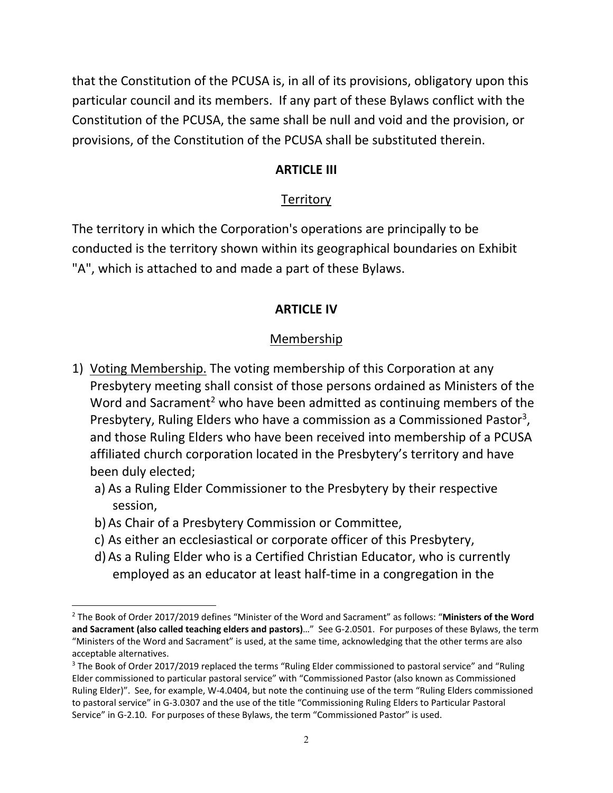that the Constitution of the PCUSA is, in all of its provisions, obligatory upon this particular council and its members. If any part of these Bylaws conflict with the Constitution of the PCUSA, the same shall be null and void and the provision, or provisions, of the Constitution of the PCUSA shall be substituted therein.

### **ARTICLE III**

# **Territory**

The territory in which the Corporation's operations are principally to be conducted is the territory shown within its geographical boundaries on Exhibit "A", which is attached to and made a part of these Bylaws.

# **ARTICLE IV**

# Membership

- 1) Voting Membership. The voting membership of this Corporation at any Presbytery meeting shall consist of those persons ordained as Ministers of the Word and Sacrament<sup>2</sup> who have been admitted as continuing members of the Presbytery, Ruling Elders who have a commission as a Commissioned Pastor<sup>3</sup>, and those Ruling Elders who have been received into membership of a PCUSA affiliated church corporation located in the Presbytery's territory and have been duly elected;
	- a) As a Ruling Elder Commissioner to the Presbytery by their respective session,
	- b)As Chair of a Presbytery Commission or Committee,
	- c) As either an ecclesiastical or corporate officer of this Presbytery,
	- d)As a Ruling Elder who is a Certified Christian Educator, who is currently employed as an educator at least half‐time in a congregation in the

 2 The Book of Order 2017/2019 defines "Minister of the Word and Sacrament" as follows: "**Ministers of the Word and Sacrament (also called teaching elders and pastors)**…" See G‐2.0501. For purposes of these Bylaws, the term "Ministers of the Word and Sacrament" is used, at the same time, acknowledging that the other terms are also acceptable alternatives.

<sup>&</sup>lt;sup>3</sup> The Book of Order 2017/2019 replaced the terms "Ruling Elder commissioned to pastoral service" and "Ruling Elder commissioned to particular pastoral service" with "Commissioned Pastor (also known as Commissioned Ruling Elder)". See, for example, W-4.0404, but note the continuing use of the term "Ruling Elders commissioned to pastoral service" in G‐3.0307 and the use of the title "Commissioning Ruling Elders to Particular Pastoral Service" in G‐2.10. For purposes of these Bylaws, the term "Commissioned Pastor" is used.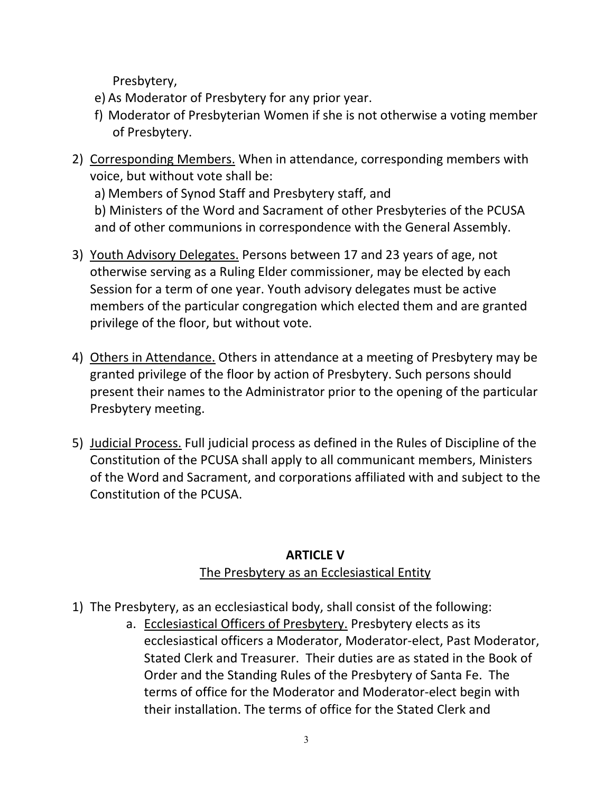Presbytery,

- e) As Moderator of Presbytery for any prior year.
- f) Moderator of Presbyterian Women if she is not otherwise a voting member of Presbytery.
- 2) Corresponding Members. When in attendance, corresponding members with voice, but without vote shall be:

a) Members of Synod Staff and Presbytery staff, and

b) Ministers of the Word and Sacrament of other Presbyteries of the PCUSA and of other communions in correspondence with the General Assembly.

- 3) Youth Advisory Delegates. Persons between 17 and 23 years of age, not otherwise serving as a Ruling Elder commissioner, may be elected by each Session for a term of one year. Youth advisory delegates must be active members of the particular congregation which elected them and are granted privilege of the floor, but without vote.
- 4) Others in Attendance. Others in attendance at a meeting of Presbytery may be granted privilege of the floor by action of Presbytery. Such persons should present their names to the Administrator prior to the opening of the particular Presbytery meeting.
- 5) Judicial Process. Full judicial process as defined in the Rules of Discipline of the Constitution of the PCUSA shall apply to all communicant members, Ministers of the Word and Sacrament, and corporations affiliated with and subject to the Constitution of the PCUSA.

# **ARTICLE V**

# The Presbytery as an Ecclesiastical Entity

- 1) The Presbytery, as an ecclesiastical body, shall consist of the following:
	- a. Ecclesiastical Officers of Presbytery. Presbytery elects as its ecclesiastical officers a Moderator, Moderator‐elect, Past Moderator, Stated Clerk and Treasurer. Their duties are as stated in the Book of Order and the Standing Rules of the Presbytery of Santa Fe. The terms of office for the Moderator and Moderator‐elect begin with their installation. The terms of office for the Stated Clerk and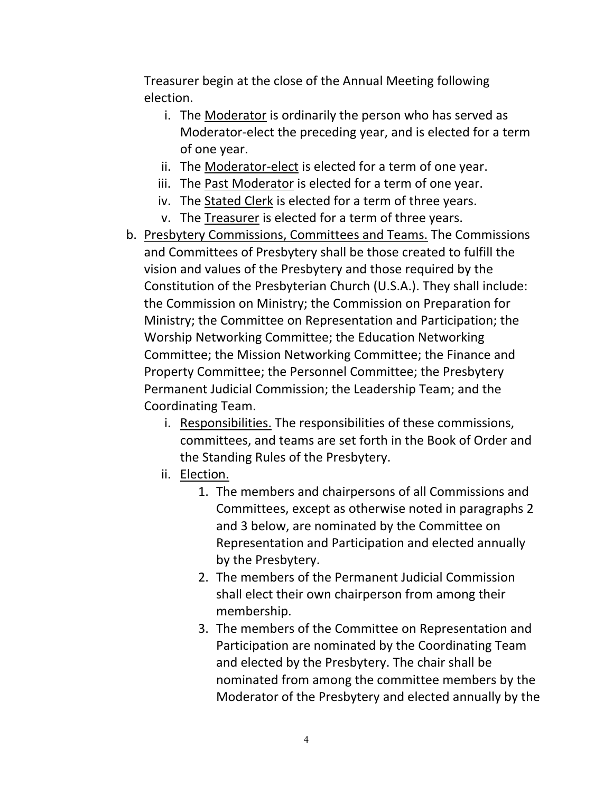Treasurer begin at the close of the Annual Meeting following election.

- i. The Moderator is ordinarily the person who has served as Moderator‐elect the preceding year, and is elected for a term of one year.
- ii. The Moderator‐elect is elected for a term of one year.
- iii. The Past Moderator is elected for a term of one year.
- iv. The Stated Clerk is elected for a term of three years.
- v. The Treasurer is elected for a term of three years.
- b. Presbytery Commissions, Committees and Teams. The Commissions and Committees of Presbytery shall be those created to fulfill the vision and values of the Presbytery and those required by the Constitution of the Presbyterian Church (U.S.A.). They shall include: the Commission on Ministry; the Commission on Preparation for Ministry; the Committee on Representation and Participation; the Worship Networking Committee; the Education Networking Committee; the Mission Networking Committee; the Finance and Property Committee; the Personnel Committee; the Presbytery Permanent Judicial Commission; the Leadership Team; and the Coordinating Team.
	- i. Responsibilities. The responsibilities of these commissions, committees, and teams are set forth in the Book of Order and the Standing Rules of the Presbytery.
	- ii. Election.
		- 1. The members and chairpersons of all Commissions and Committees, except as otherwise noted in paragraphs 2 and 3 below, are nominated by the Committee on Representation and Participation and elected annually by the Presbytery.
		- 2. The members of the Permanent Judicial Commission shall elect their own chairperson from among their membership.
		- 3. The members of the Committee on Representation and Participation are nominated by the Coordinating Team and elected by the Presbytery. The chair shall be nominated from among the committee members by the Moderator of the Presbytery and elected annually by the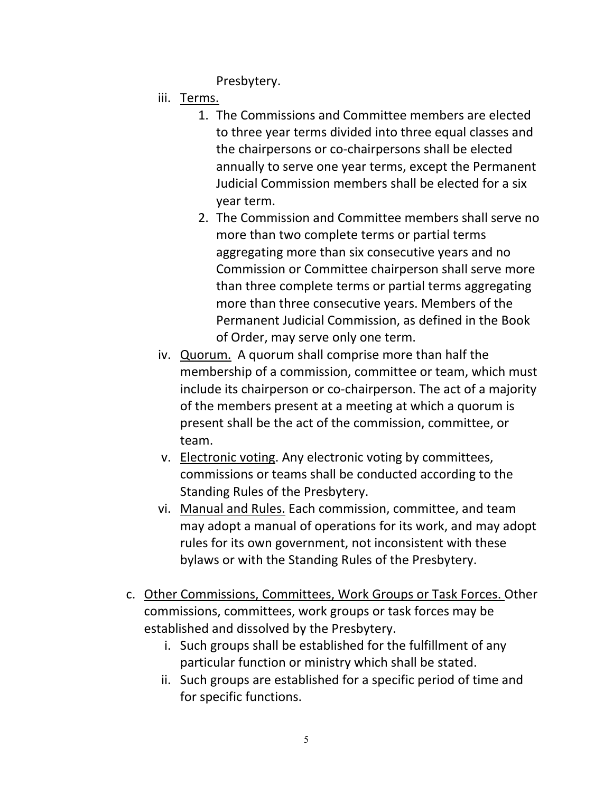Presbytery.

- iii. Terms.
	- 1. The Commissions and Committee members are elected to three year terms divided into three equal classes and the chairpersons or co‐chairpersons shall be elected annually to serve one year terms, except the Permanent Judicial Commission members shall be elected for a six year term.
	- 2. The Commission and Committee members shall serve no more than two complete terms or partial terms aggregating more than six consecutive years and no Commission or Committee chairperson shall serve more than three complete terms or partial terms aggregating more than three consecutive years. Members of the Permanent Judicial Commission, as defined in the Book of Order, may serve only one term.
- iv. Quorum. A quorum shall comprise more than half the membership of a commission, committee or team, which must include its chairperson or co-chairperson. The act of a majority of the members present at a meeting at which a quorum is present shall be the act of the commission, committee, or team.
- v. Electronic voting. Any electronic voting by committees, commissions or teams shall be conducted according to the Standing Rules of the Presbytery.
- vi. Manual and Rules. Each commission, committee, and team may adopt a manual of operations for its work, and may adopt rules for its own government, not inconsistent with these bylaws or with the Standing Rules of the Presbytery.
- c. Other Commissions, Committees, Work Groups or Task Forces. Other commissions, committees, work groups or task forces may be established and dissolved by the Presbytery.
	- i. Such groups shall be established for the fulfillment of any particular function or ministry which shall be stated.
	- ii. Such groups are established for a specific period of time and for specific functions.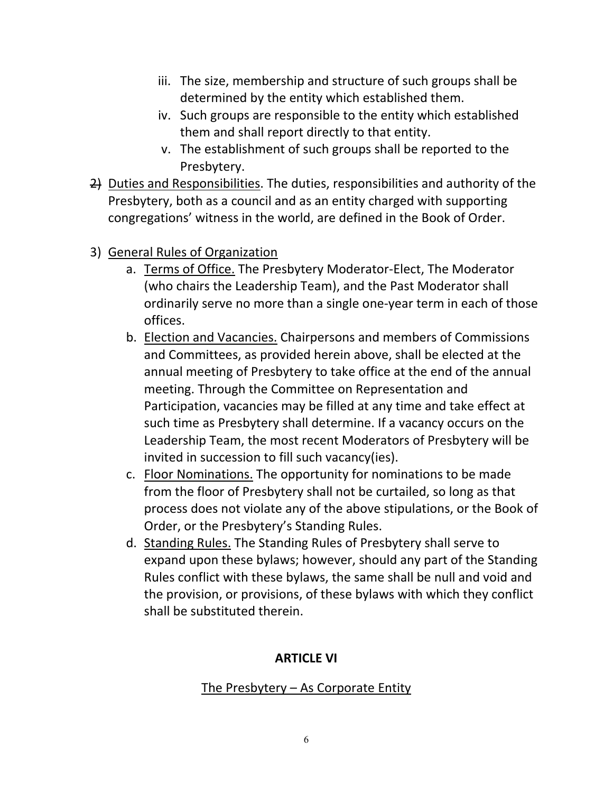- iii. The size, membership and structure of such groups shall be determined by the entity which established them.
- iv. Such groups are responsible to the entity which established them and shall report directly to that entity.
- v. The establishment of such groups shall be reported to the Presbytery.
- 2) Duties and Responsibilities. The duties, responsibilities and authority of the Presbytery, both as a council and as an entity charged with supporting congregations' witness in the world, are defined in the Book of Order.
- 3) General Rules of Organization
	- a. Terms of Office. The Presbytery Moderator‐Elect, The Moderator (who chairs the Leadership Team), and the Past Moderator shall ordinarily serve no more than a single one‐year term in each of those offices.
	- b. Election and Vacancies. Chairpersons and members of Commissions and Committees, as provided herein above, shall be elected at the annual meeting of Presbytery to take office at the end of the annual meeting. Through the Committee on Representation and Participation, vacancies may be filled at any time and take effect at such time as Presbytery shall determine. If a vacancy occurs on the Leadership Team, the most recent Moderators of Presbytery will be invited in succession to fill such vacancy(ies).
	- c. Floor Nominations. The opportunity for nominations to be made from the floor of Presbytery shall not be curtailed, so long as that process does not violate any of the above stipulations, or the Book of Order, or the Presbytery's Standing Rules.
	- d. Standing Rules. The Standing Rules of Presbytery shall serve to expand upon these bylaws; however, should any part of the Standing Rules conflict with these bylaws, the same shall be null and void and the provision, or provisions, of these bylaws with which they conflict shall be substituted therein.

# **ARTICLE VI**

# The Presbytery – As Corporate Entity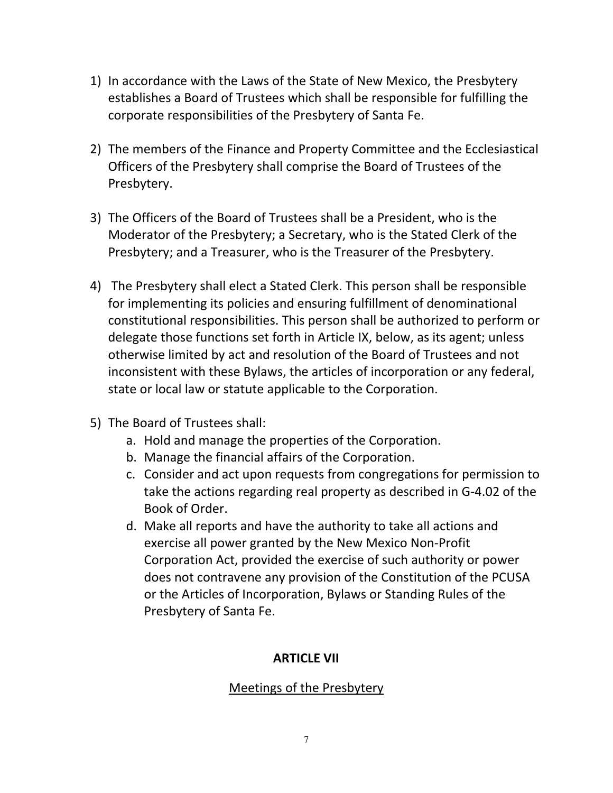- 1) In accordance with the Laws of the State of New Mexico, the Presbytery establishes a Board of Trustees which shall be responsible for fulfilling the corporate responsibilities of the Presbytery of Santa Fe.
- 2) The members of the Finance and Property Committee and the Ecclesiastical Officers of the Presbytery shall comprise the Board of Trustees of the Presbytery.
- 3) The Officers of the Board of Trustees shall be a President, who is the Moderator of the Presbytery; a Secretary, who is the Stated Clerk of the Presbytery; and a Treasurer, who is the Treasurer of the Presbytery.
- 4) The Presbytery shall elect a Stated Clerk. This person shall be responsible for implementing its policies and ensuring fulfillment of denominational constitutional responsibilities. This person shall be authorized to perform or delegate those functions set forth in Article IX, below, as its agent; unless otherwise limited by act and resolution of the Board of Trustees and not inconsistent with these Bylaws, the articles of incorporation or any federal, state or local law or statute applicable to the Corporation.
- 5) The Board of Trustees shall:
	- a. Hold and manage the properties of the Corporation.
	- b. Manage the financial affairs of the Corporation.
	- c. Consider and act upon requests from congregations for permission to take the actions regarding real property as described in G‐4.02 of the Book of Order.
	- d. Make all reports and have the authority to take all actions and exercise all power granted by the New Mexico Non‐Profit Corporation Act, provided the exercise of such authority or power does not contravene any provision of the Constitution of the PCUSA or the Articles of Incorporation, Bylaws or Standing Rules of the Presbytery of Santa Fe.

# **ARTICLE VII**

# Meetings of the Presbytery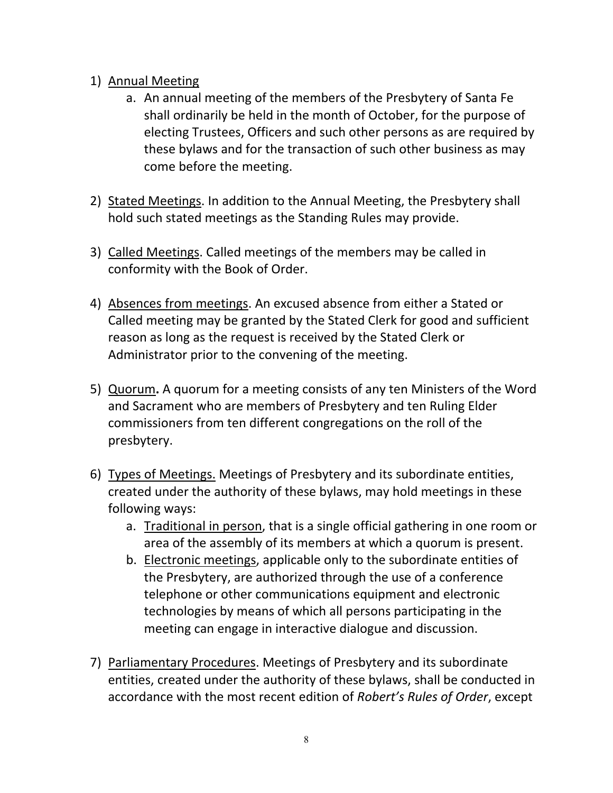### 1) Annual Meeting

- a. An annual meeting of the members of the Presbytery of Santa Fe shall ordinarily be held in the month of October, for the purpose of electing Trustees, Officers and such other persons as are required by these bylaws and for the transaction of such other business as may come before the meeting.
- 2) Stated Meetings. In addition to the Annual Meeting, the Presbytery shall hold such stated meetings as the Standing Rules may provide.
- 3) Called Meetings. Called meetings of the members may be called in conformity with the Book of Order.
- 4) Absences from meetings. An excused absence from either a Stated or Called meeting may be granted by the Stated Clerk for good and sufficient reason as long as the request is received by the Stated Clerk or Administrator prior to the convening of the meeting.
- 5) Quorum**.** A quorum for a meeting consists of any ten Ministers of the Word and Sacrament who are members of Presbytery and ten Ruling Elder commissioners from ten different congregations on the roll of the presbytery.
- 6) Types of Meetings. Meetings of Presbytery and its subordinate entities, created under the authority of these bylaws, may hold meetings in these following ways:
	- a. Traditional in person, that is a single official gathering in one room or area of the assembly of its members at which a quorum is present.
	- b. Electronic meetings, applicable only to the subordinate entities of the Presbytery, are authorized through the use of a conference telephone or other communications equipment and electronic technologies by means of which all persons participating in the meeting can engage in interactive dialogue and discussion.
- 7) Parliamentary Procedures. Meetings of Presbytery and its subordinate entities, created under the authority of these bylaws, shall be conducted in accordance with the most recent edition of *Robert's Rules of Order*, except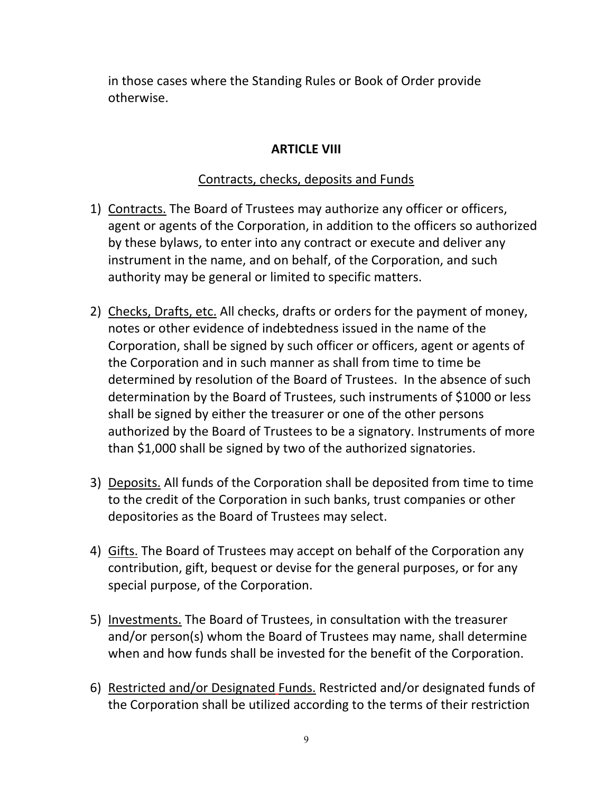in those cases where the Standing Rules or Book of Order provide otherwise.

### **ARTICLE VIII**

### Contracts, checks, deposits and Funds

- 1) Contracts. The Board of Trustees may authorize any officer or officers, agent or agents of the Corporation, in addition to the officers so authorized by these bylaws, to enter into any contract or execute and deliver any instrument in the name, and on behalf, of the Corporation, and such authority may be general or limited to specific matters.
- 2) Checks, Drafts, etc. All checks, drafts or orders for the payment of money, notes or other evidence of indebtedness issued in the name of the Corporation, shall be signed by such officer or officers, agent or agents of the Corporation and in such manner as shall from time to time be determined by resolution of the Board of Trustees. In the absence of such determination by the Board of Trustees, such instruments of \$1000 or less shall be signed by either the treasurer or one of the other persons authorized by the Board of Trustees to be a signatory. Instruments of more than \$1,000 shall be signed by two of the authorized signatories.
- 3) Deposits. All funds of the Corporation shall be deposited from time to time to the credit of the Corporation in such banks, trust companies or other depositories as the Board of Trustees may select.
- 4) Gifts. The Board of Trustees may accept on behalf of the Corporation any contribution, gift, bequest or devise for the general purposes, or for any special purpose, of the Corporation.
- 5) Investments. The Board of Trustees, in consultation with the treasurer and/or person(s) whom the Board of Trustees may name, shall determine when and how funds shall be invested for the benefit of the Corporation.
- 6) Restricted and/or Designated Funds. Restricted and/or designated funds of the Corporation shall be utilized according to the terms of their restriction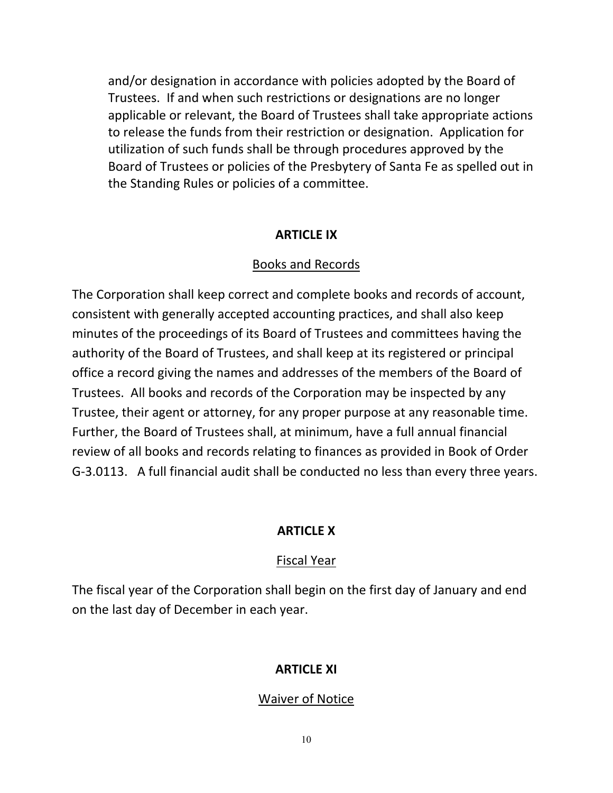and/or designation in accordance with policies adopted by the Board of Trustees. If and when such restrictions or designations are no longer applicable or relevant, the Board of Trustees shall take appropriate actions to release the funds from their restriction or designation. Application for utilization of such funds shall be through procedures approved by the Board of Trustees or policies of the Presbytery of Santa Fe as spelled out in the Standing Rules or policies of a committee.

#### **ARTICLE IX**

#### Books and Records

The Corporation shall keep correct and complete books and records of account, consistent with generally accepted accounting practices, and shall also keep minutes of the proceedings of its Board of Trustees and committees having the authority of the Board of Trustees, and shall keep at its registered or principal office a record giving the names and addresses of the members of the Board of Trustees. All books and records of the Corporation may be inspected by any Trustee, their agent or attorney, for any proper purpose at any reasonable time. Further, the Board of Trustees shall, at minimum, have a full annual financial review of all books and records relating to finances as provided in Book of Order G‐3.0113. A full financial audit shall be conducted no less than every three years.

### **ARTICLE X**

### Fiscal Year

The fiscal year of the Corporation shall begin on the first day of January and end on the last day of December in each year.

### **ARTICLE XI**

#### Waiver of Notice

10